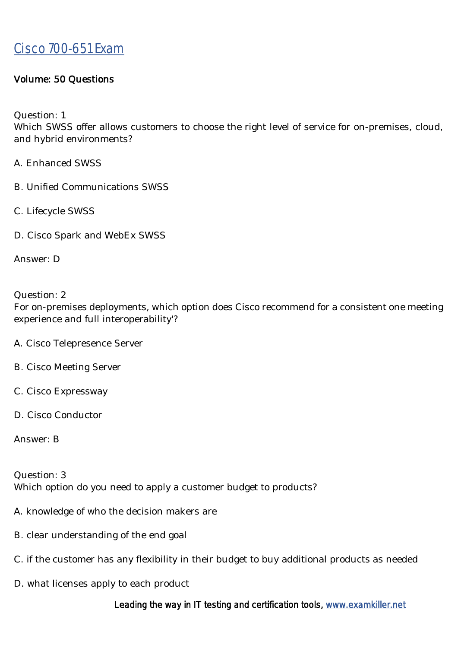#### Volume: 50 Questions

Question: 1

Which SWSS offer allows customers to choose the right level of service for on-premises, cloud, and hybrid environments?

- A. Enhanced SWSS
- B. Unified Communications SWSS
- C. Lifecycle SWSS
- D. Cisco Spark and WebEx SWSS

Answer: D

#### Question: 2

For on-premises deployments, which option does Cisco recommend for a consistent one meeting experience and full interoperability'?

- A. Cisco Telepresence Server
- B. Cisco Meeting Server
- C. Cisco Expressway
- D. Cisco Conductor

Answer: B

Question: 3 Which option do you need to apply a customer budget to products?

- A. knowledge of who the decision makers are
- B. clear understanding of the end goal
- C. if the customer has any flexibility in their budget to buy additional products as needed
- D. what licenses apply to each product

Leading the way in IT testing and certification tools, www.examkiller.net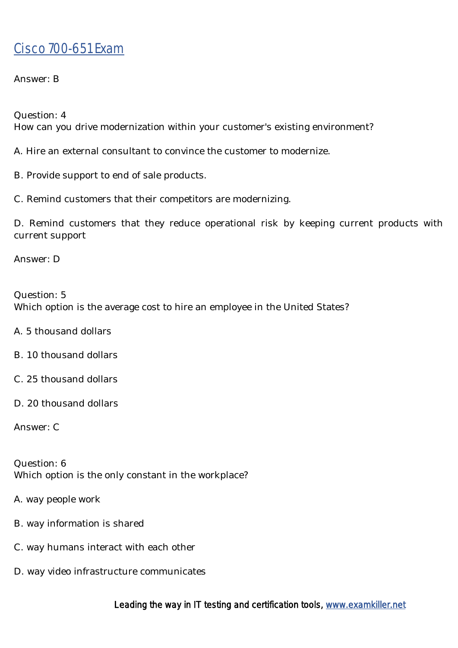Answer: B

Question: 4

How can you drive modernization within your customer's existing environment?

A. Hire an external consultant to convince the customer to modernize.

B. Provide support to end of sale products.

C. Remind customers that their competitors are modernizing.

D. Remind customers that they reduce operational risk by keeping current products with current support

Answer: D

Question: 5 Which option is the average cost to hire an employee in the United States?

- A. 5 thousand dollars
- B. 10 thousand dollars
- C. 25 thousand dollars
- D. 20 thousand dollars

Answer: C

Question: 6 Which option is the only constant in the workplace?

- A. way people work
- B. way information is shared
- C. way humans interact with each other
- D. way video infrastructure communicates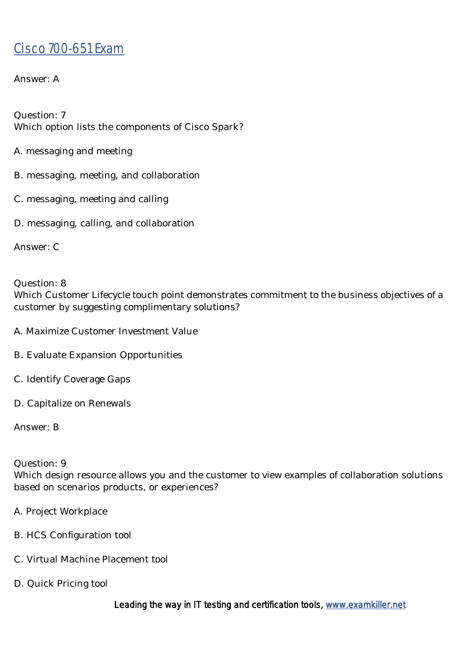Answer: A

Question: 7 Which option lists the components of Cisco Spark?

- A. messaging and meeting
- B. messaging, meeting, and collaboration
- C. messaging, meeting and calling
- D. messaging, calling, and collaboration

Answer: C

Question: 8 Which Customer Lifecycle touch point demonstrates commitment to the business objectives of a customer by suggesting complimentary solutions?

- A. Maximize Customer Investment Value
- B. Evaluate Expansion Opportunities
- C. Identify Coverage Gaps
- D. Capitalize on Renewals

Answer: B

#### Question: 9

Which design resource allows you and the customer to view examples of collaboration solutions based on scenarios products, or experiences?

- A. Project Workplace
- B. HCS Configuration tool
- C. Virtual Machine Placement tool
- D. Quick Pricing tool

Leading the way in IT testing and certification tools, www.examkiller.net